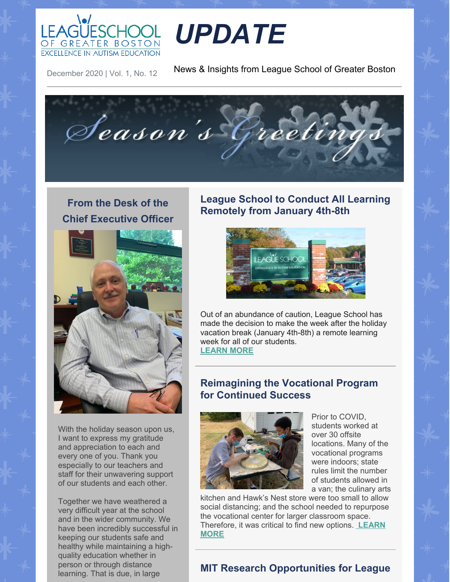

# *UPDATE*

December 2020 | Vol. 1, No. 12

News & Insights from League School of Greater Boston



## **From the Desk of the Chief Executive Officer**



With the holiday season upon us, I want to express my gratitude and appreciation to each and every one of you. Thank you especially to our teachers and staff for their unwavering support of our students and each other.

Together we have weathered a very difficult year at the school and in the wider community. We have been incredibly successful in keeping our students safe and healthy while maintaining a highquality education whether in person or through distance learning. That is due, in large

#### **League School to Conduct All Learning Remotely from January 4th-8th**



Out of an abundance of caution, League School has made the decision to make the week after the holiday vacation break (January 4th-8th) a remote learning week for all of our students. **[LEARN](https://leagueschool.org/update-league-school-to-conduct-all-learning-remotely-from-january-4th-8th/) MORE**

#### **Reimagining the Vocational Program for Continued Success**



Prior to COVID, students worked at over 30 offsite locations. Many of the vocational programs were indoors; state rules limit the number of students allowed in a van; the culinary arts

kitchen and Hawk's Nest store were too small to allow social distancing; and the school needed to repurpose the vocational center for larger classroom space. [Therefore,](https://leagueschool.org/reimagining-the-vocational-program-for-continued-student-success/) it was critical to find new options. **LEARN MORE**

#### **MIT Research Opportunities for League**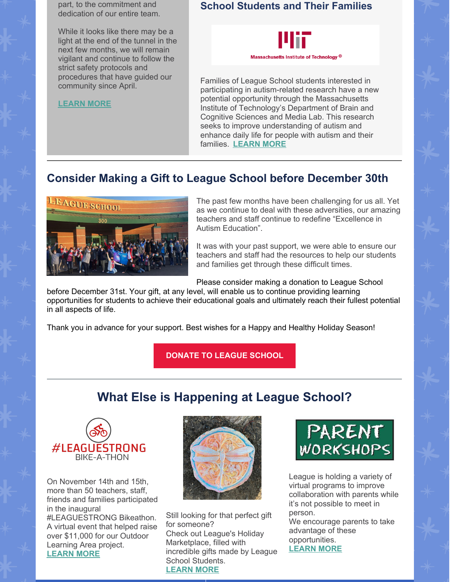part, to the commitment and dedication of our entire team.

While it looks like there may be a light at the end of the tunnel in the next few months, we will remain vigilant and continue to follow the strict safety protocols and procedures that have guided our community since April.

**[LEARN](https://leagueschool.org/from-the-desk-of-the-chief-executive-officer/) MORE**

#### **School Students and Their Families**



Families of League School students interested in participating in autism-related research have a new potential opportunity through the Massachusetts Institute of Technology's Department of Brain and Cognitive Sciences and Media Lab. This research seeks to improve understanding of autism and enhance daily life for people with autism and their families. **[LEARN](https://leagueschool.org/mit-research-opportunities-for-league-school-students-and-their-families/) MORE**

### **Consider Making a Gift to League School before December 30th**



The past few months have been challenging for us all. Yet as we continue to deal with these adversities, our amazing teachers and staff continue to redefine "Excellence in Autism Education".

It was with your past support, we were able to ensure our teachers and staff had the resources to help our students and families get through these difficult times.

Please consider making a donation to League School

before December 31st. Your gift, at any level, will enable us to continue providing learning opportunities for students to achieve their educational goals and ultimately reach their fullest potential in all aspects of life.

Thank you in advance for your support. Best wishes for a Happy and Healthy Holiday Season!

**[DONATE](https://leagueschool.org/support-league/make-a-donation/) TO LEAGUE SCHOOL**

# **What Else is Happening at League School?**



On November 14th and 15th, more than 50 teachers, staff, friends and families participated in the inaugural #LEAGUESTRONG Bikeathon. A virtual event that helped raise over \$11,000 for our Outdoor Learning Area project. **[LEARN](https://leagueschool.org/inaugural-bikeathon-raised-11000-for-outdoor-learning-space-project/) MORE**



Still looking for that perfect gift for someone? Check out League's Holiday Marketplace, filled with incredible gifts made by League School Students. **[LEARN](https://leagueschool.org/visit-our-holiday-market-place-for-wonderful-gifts-made-by-league-students/) MORE**



League is holding a variety of virtual programs to improve collaboration with parents while it's not possible to meet in person.

We encourage parents to take advantage of these opportunities.

**[LEARN](https://leagueschool.org/take-advantage-of-league-schools-virtual-workshops/) MORE**